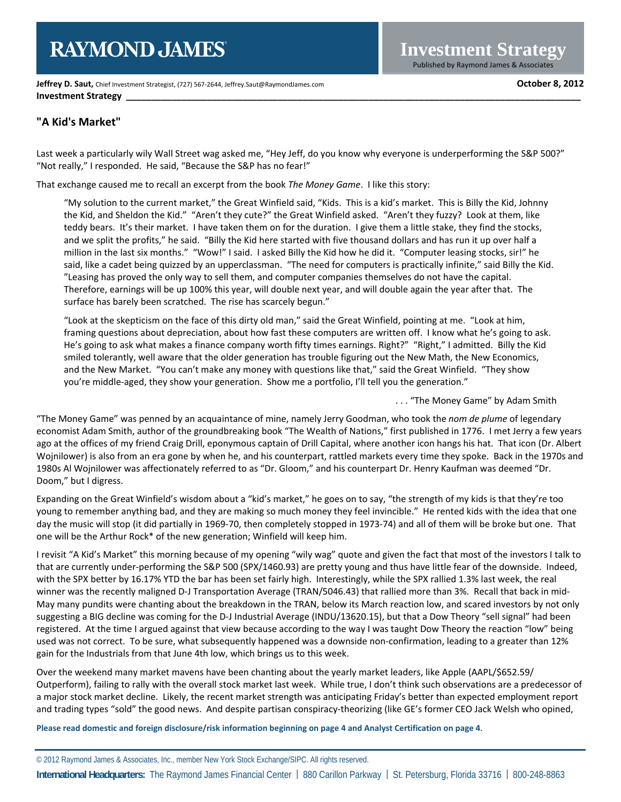# **RAYMOND JAMES**

**Jeffrey D. Saut,** Chief Investment Strategist, (727) 567-2644, Jeffrey.Saut@RaymondJames.com **October 8, 2012 Investment Strategy** 

## **"A Kid's Market"**

Last week a particularly wily Wall Street wag asked me, "Hey Jeff, do you know why everyone is underperforming the S&P 500?" "Not really," I responded. He said, "Because the S&P has no fear!"

That exchange caused me to recall an excerpt from the book *The Money Game*. I like this story:

"My solution to the current market," the Great Winfield said, "Kids. This is a kid's market. This is Billy the Kid, Johnny the Kid, and Sheldon the Kid." "Aren't they cute?" the Great Winfield asked. "Aren't they fuzzy? Look at them, like teddy bears. It's their market. I have taken them on for the duration. I give them a little stake, they find the stocks, and we split the profits," he said. "Billy the Kid here started with five thousand dollars and has run it up over half a million in the last six months." "Wow!" I said. I asked Billy the Kid how he did it. "Computer leasing stocks, sir!" he said, like a cadet being quizzed by an upperclassman. "The need for computers is practically infinite," said Billy the Kid. "Leasing has proved the only way to sell them, and computer companies themselves do not have the capital. Therefore, earnings will be up 100% this year, will double next year, and will double again the year after that. The surface has barely been scratched. The rise has scarcely begun."

"Look at the skepticism on the face of this dirty old man," said the Great Winfield, pointing at me. "Look at him, framing questions about depreciation, about how fast these computers are written off. I know what he's going to ask. He's going to ask what makes a finance company worth fifty times earnings. Right?" "Right," I admitted. Billy the Kid smiled tolerantly, well aware that the older generation has trouble figuring out the New Math, the New Economics, and the New Market. "You can't make any money with questions like that," said the Great Winfield. "They show you're middle-aged, they show your generation. Show me a portfolio, I'll tell you the generation."

. . . "The Money Game" by Adam Smith

"The Money Game" was penned by an acquaintance of mine, namely Jerry Goodman, who took the *nom de plume* of legendary economist Adam Smith, author of the groundbreaking book "The Wealth of Nations," first published in 1776. I met Jerry a few years ago at the offices of my friend Craig Drill, eponymous captain of Drill Capital, where another icon hangs his hat. That icon (Dr. Albert Wojnilower) is also from an era gone by when he, and his counterpart, rattled markets every time they spoke. Back in the 1970s and 1980s Al Wojnilower was affectionately referred to as "Dr. Gloom," and his counterpart Dr. Henry Kaufman was deemed "Dr. Doom," but I digress.

Expanding on the Great Winfield's wisdom about a "kid's market," he goes on to say, "the strength of my kids is that they're too young to remember anything bad, and they are making so much money they feel invincible." He rented kids with the idea that one day the music will stop (it did partially in 1969-70, then completely stopped in 1973-74) and all of them will be broke but one. That one will be the Arthur Rock\* of the new generation; Winfield will keep him.

I revisit "A Kid's Market" this morning because of my opening "wily wag" quote and given the fact that most of the investors I talk to that are currently under-performing the S&P 500 (SPX/1460.93) are pretty young and thus have little fear of the downside. Indeed, with the SPX better by 16.17% YTD the bar has been set fairly high. Interestingly, while the SPX rallied 1.3% last week, the real winner was the recently maligned D-J Transportation Average (TRAN/5046.43) that rallied more than 3%. Recall that back in mid-May many pundits were chanting about the breakdown in the TRAN, below its March reaction low, and scared investors by not only suggesting a BIG decline was coming for the D-J Industrial Average (INDU/13620.15), but that a Dow Theory "sell signal" had been registered. At the time I argued against that view because according to the way I was taught Dow Theory the reaction "low" being used was not correct. To be sure, what subsequently happened was a downside non-confirmation, leading to a greater than 12% gain for the Industrials from that June 4th low, which brings us to this week.

Over the weekend many market mavens have been chanting about the yearly market leaders, like Apple (AAPL/\$652.59/ Outperform), failing to rally with the overall stock market last week. While true, I don't think such observations are a predecessor of a major stock market decline. Likely, the recent market strength was anticipating Friday's better than expected employment report and trading types "sold" the good news. And despite partisan conspiracy-theorizing (like GE's former CEO Jack Welsh who opined,

**Please read domestic and foreign disclosure/risk information beginning on page 4 and Analyst Certification on page 4**.

© 2012 Raymond James & Associates, Inc., member New York Stock Exchange/SIPC. All rights reserved. **International Headquarters:** The Raymond James Financial Center | 880 Carillon Parkway | St. Petersburg, Florida 33716 | 800-248-8863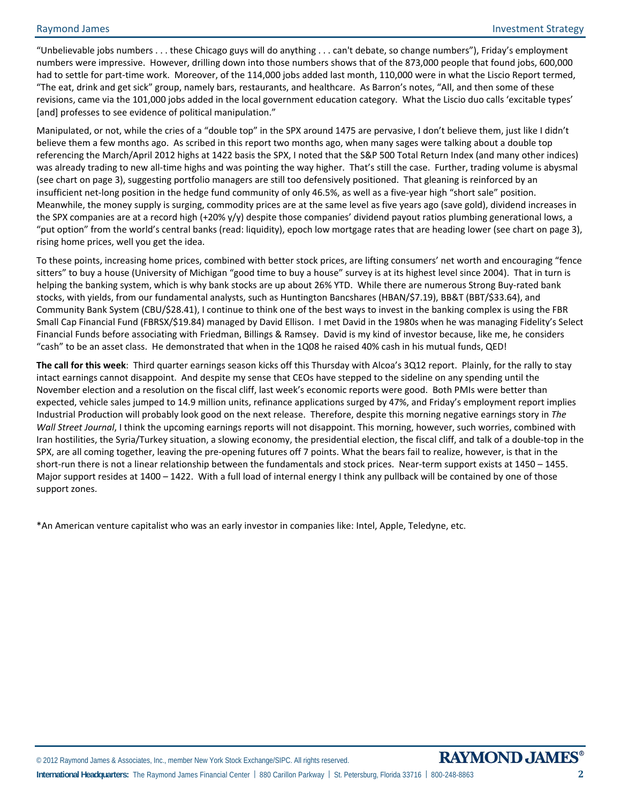"Unbelievable jobs numbers . . . these Chicago guys will do anything . . . can't debate, so change numbers"), Friday's employment numbers were impressive. However, drilling down into those numbers shows that of the 873,000 people that found jobs, 600,000 had to settle for part-time work. Moreover, of the 114,000 jobs added last month, 110,000 were in what the Liscio Report termed, "The eat, drink and get sick" group, namely bars, restaurants, and healthcare. As Barron's notes, "All, and then some of these revisions, came via the 101,000 jobs added in the local government education category. What the Liscio duo calls 'excitable types' [and] professes to see evidence of political manipulation."

Manipulated, or not, while the cries of a "double top" in the SPX around 1475 are pervasive, I don't believe them, just like I didn't believe them a few months ago. As scribed in this report two months ago, when many sages were talking about a double top referencing the March/April 2012 highs at 1422 basis the SPX, I noted that the S&P 500 Total Return Index (and many other indices) was already trading to new all-time highs and was pointing the way higher. That's still the case. Further, trading volume is abysmal (see chart on page 3), suggesting portfolio managers are still too defensively positioned. That gleaning is reinforced by an insufficient net-long position in the hedge fund community of only 46.5%, as well as a five-year high "short sale" position. Meanwhile, the money supply is surging, commodity prices are at the same level as five years ago (save gold), dividend increases in the SPX companies are at a record high (+20% y/y) despite those companies' dividend payout ratios plumbing generational lows, a "put option" from the world's central banks (read: liquidity), epoch low mortgage rates that are heading lower (see chart on page 3), rising home prices, well you get the idea.

To these points, increasing home prices, combined with better stock prices, are lifting consumers' net worth and encouraging "fence sitters" to buy a house (University of Michigan "good time to buy a house" survey is at its highest level since 2004). That in turn is helping the banking system, which is why bank stocks are up about 26% YTD. While there are numerous Strong Buy-rated bank stocks, with yields, from our fundamental analysts, such as Huntington Bancshares (HBAN/\$7.19), BB&T (BBT/\$33.64), and Community Bank System (CBU/\$28.41), I continue to think one of the best ways to invest in the banking complex is using the FBR Small Cap Financial Fund (FBRSX/\$19.84) managed by David Ellison. I met David in the 1980s when he was managing Fidelity's Select Financial Funds before associating with Friedman, Billings & Ramsey. David is my kind of investor because, like me, he considers "cash" to be an asset class. He demonstrated that when in the 1Q08 he raised 40% cash in his mutual funds, QED!

**The call for this week**: Third quarter earnings season kicks off this Thursday with Alcoa's 3Q12 report. Plainly, for the rally to stay intact earnings cannot disappoint. And despite my sense that CEOs have stepped to the sideline on any spending until the November election and a resolution on the fiscal cliff, last week's economic reports were good. Both PMIs were better than expected, vehicle sales jumped to 14.9 million units, refinance applications surged by 47%, and Friday's employment report implies Industrial Production will probably look good on the next release. Therefore, despite this morning negative earnings story in *The Wall Street Journal*, I think the upcoming earnings reports will not disappoint. This morning, however, such worries, combined with Iran hostilities, the Syria/Turkey situation, a slowing economy, the presidential election, the fiscal cliff, and talk of a double-top in the SPX, are all coming together, leaving the pre-opening futures off 7 points. What the bears fail to realize, however, is that in the short-run there is not a linear relationship between the fundamentals and stock prices. Near-term support exists at 1450 – 1455. Major support resides at 1400 – 1422. With a full load of internal energy I think any pullback will be contained by one of those support zones.

\*An American venture capitalist who was an early investor in companies like: Intel, Apple, Teledyne, etc.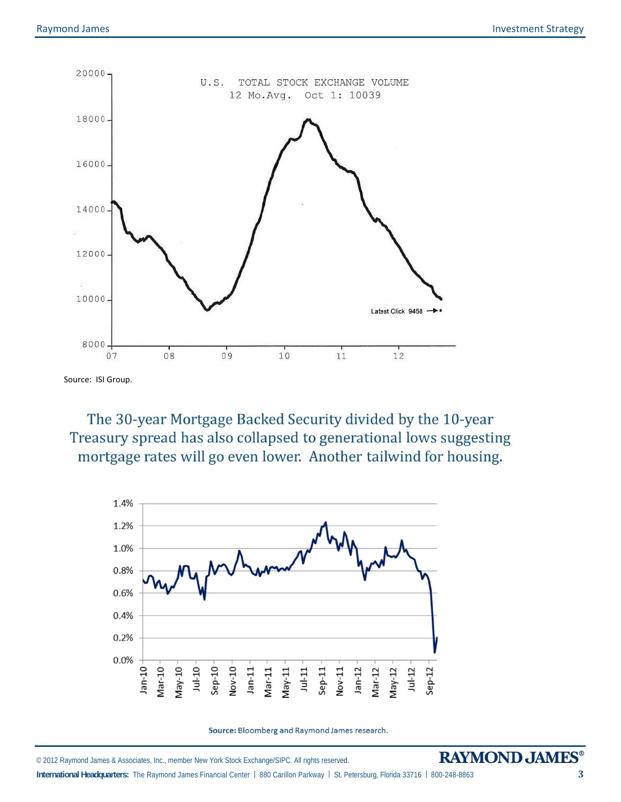

Source: ISI Group.

The 30-year Mortgage Backed Security divided by the 10-year Treasury spread has also collapsed to generational lows suggesting mortgage rates will go even lower. Another tailwind for housing.



Source: Bloomberg and Raymond James research.

© 2012 Raymond James & Associates, Inc., member New York Stock Exchange/SIPC. All rights reserved.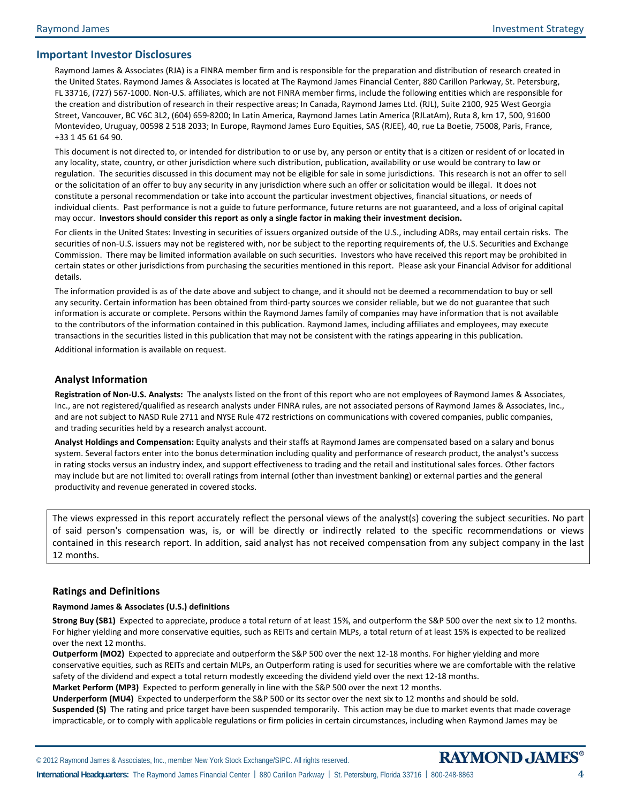## **Important Investor Disclosures**

Raymond James & Associates (RJA) is a FINRA member firm and is responsible for the preparation and distribution of research created in the United States. Raymond James & Associates is located at The Raymond James Financial Center, 880 Carillon Parkway, St. Petersburg, FL 33716, (727) 567-1000. Non-U.S. affiliates, which are not FINRA member firms, include the following entities which are responsible for the creation and distribution of research in their respective areas; In Canada, Raymond James Ltd. (RJL), Suite 2100, 925 West Georgia Street, Vancouver, BC V6C 3L2, (604) 659-8200; In Latin America, Raymond James Latin America (RJLatAm), Ruta 8, km 17, 500, 91600 Montevideo, Uruguay, 00598 2 518 2033; In Europe, Raymond James Euro Equities, SAS (RJEE), 40, rue La Boetie, 75008, Paris, France, +33 1 45 61 64 90.

This document is not directed to, or intended for distribution to or use by, any person or entity that is a citizen or resident of or located in any locality, state, country, or other jurisdiction where such distribution, publication, availability or use would be contrary to law or regulation. The securities discussed in this document may not be eligible for sale in some jurisdictions. This research is not an offer to sell or the solicitation of an offer to buy any security in any jurisdiction where such an offer or solicitation would be illegal. It does not constitute a personal recommendation or take into account the particular investment objectives, financial situations, or needs of individual clients. Past performance is not a guide to future performance, future returns are not guaranteed, and a loss of original capital may occur. **Investors should consider this report as only a single factor in making their investment decision.** 

For clients in the United States: Investing in securities of issuers organized outside of the U.S., including ADRs, may entail certain risks. The securities of non-U.S. issuers may not be registered with, nor be subject to the reporting requirements of, the U.S. Securities and Exchange Commission. There may be limited information available on such securities. Investors who have received this report may be prohibited in certain states or other jurisdictions from purchasing the securities mentioned in this report.Please ask your Financial Advisor for additional details.

The information provided is as of the date above and subject to change, and it should not be deemed a recommendation to buy or sell any security. Certain information has been obtained from third-party sources we consider reliable, but we do not guarantee that such information is accurate or complete. Persons within the Raymond James family of companies may have information that is not available to the contributors of the information contained in this publication. Raymond James, including affiliates and employees, may execute transactions in the securities listed in this publication that may not be consistent with the ratings appearing in this publication.

Additional information is available on request.

#### **Analyst Information**

**Registration of Non-U.S. Analysts:** The analysts listed on the front of this report who are not employees of Raymond James & Associates, Inc., are not registered/qualified as research analysts under FINRA rules, are not associated persons of Raymond James & Associates, Inc., and are not subject to NASD Rule 2711 and NYSE Rule 472 restrictions on communications with covered companies, public companies, and trading securities held by a research analyst account.

**Analyst Holdings and Compensation:** Equity analysts and their staffs at Raymond James are compensated based on a salary and bonus system. Several factors enter into the bonus determination including quality and performance of research product, the analyst's success in rating stocks versus an industry index, and support effectiveness to trading and the retail and institutional sales forces. Other factors may include but are not limited to: overall ratings from internal (other than investment banking) or external parties and the general productivity and revenue generated in covered stocks.

The views expressed in this report accurately reflect the personal views of the analyst(s) covering the subject securities. No part of said person's compensation was, is, or will be directly or indirectly related to the specific recommendations or views contained in this research report. In addition, said analyst has not received compensation from any subject company in the last 12 months.

#### **Ratings and Definitions**

#### **Raymond James & Associates (U.S.) definitions**

**Strong Buy (SB1)** Expected to appreciate, produce a total return of at least 15%, and outperform the S&P 500 over the next six to 12 months. For higher yielding and more conservative equities, such as REITs and certain MLPs, a total return of at least 15% is expected to be realized over the next 12 months.

**Outperform (MO2)** Expected to appreciate and outperform the S&P 500 over the next 12-18 months. For higher yielding and more conservative equities, such as REITs and certain MLPs, an Outperform rating is used for securities where we are comfortable with the relative safety of the dividend and expect a total return modestly exceeding the dividend yield over the next 12-18 months.

**Market Perform (MP3)** Expected to perform generally in line with the S&P 500 over the next 12 months.

**Underperform (MU4)** Expected to underperform the S&P 500 or its sector over the next six to 12 months and should be sold. **Suspended (S)** The rating and price target have been suspended temporarily. This action may be due to market events that made coverage impracticable, or to comply with applicable regulations or firm policies in certain circumstances, including when Raymond James may be

© 2012 Raymond James & Associates, Inc., member New York Stock Exchange/SIPC. All rights reserved.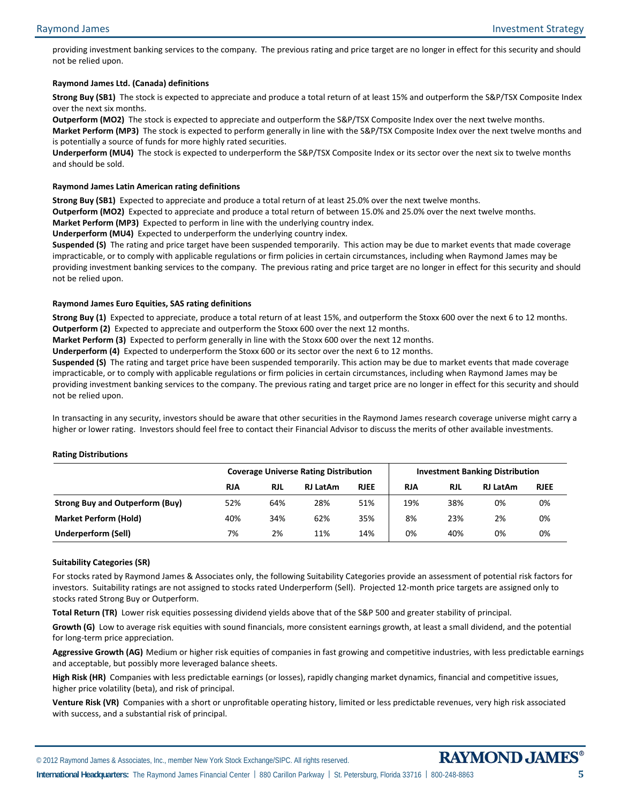providing investment banking services to the company. The previous rating and price target are no longer in effect for this security and should not be relied upon.

#### **Raymond James Ltd. (Canada) definitions**

**Strong Buy (SB1)** The stock is expected to appreciate and produce a total return of at least 15% and outperform the S&P/TSX Composite Index over the next six months.

**Outperform (MO2)** The stock is expected to appreciate and outperform the S&P/TSX Composite Index over the next twelve months.

**Market Perform (MP3)** The stock is expected to perform generally in line with the S&P/TSX Composite Index over the next twelve months and is potentially a source of funds for more highly rated securities.

**Underperform (MU4)** The stock is expected to underperform the S&P/TSX Composite Index or its sector over the next six to twelve months and should be sold.

#### **Raymond James Latin American rating definitions**

**Strong Buy (SB1)** Expected to appreciate and produce a total return of at least 25.0% over the next twelve months.

**Outperform (MO2)** Expected to appreciate and produce a total return of between 15.0% and 25.0% over the next twelve months.

**Market Perform (MP3)** Expected to perform in line with the underlying country index.

**Underperform (MU4)** Expected to underperform the underlying country index.

**Suspended (S)** The rating and price target have been suspended temporarily. This action may be due to market events that made coverage impracticable, or to comply with applicable regulations or firm policies in certain circumstances, including when Raymond James may be providing investment banking services to the company. The previous rating and price target are no longer in effect for this security and should not be relied upon.

#### **Raymond James Euro Equities, SAS rating definitions**

**Strong Buy (1)** Expected to appreciate, produce a total return of at least 15%, and outperform the Stoxx 600 over the next 6 to 12 months. **Outperform (2)** Expected to appreciate and outperform the Stoxx 600 over the next 12 months.

**Market Perform (3)** Expected to perform generally in line with the Stoxx 600 over the next 12 months.

**Underperform (4)** Expected to underperform the Stoxx 600 or its sector over the next 6 to 12 months.

**Suspended (S)** The rating and target price have been suspended temporarily. This action may be due to market events that made coverage impracticable, or to comply with applicable regulations or firm policies in certain circumstances, including when Raymond James may be providing investment banking services to the company. The previous rating and target price are no longer in effect for this security and should not be relied upon.

In transacting in any security, investors should be aware that other securities in the Raymond James research coverage universe might carry a higher or lower rating. Investors should feel free to contact their Financial Advisor to discuss the merits of other available investments.

#### **Rating Distributions**

|                                        |            | <b>Coverage Universe Rating Distribution</b> |                 |             |            | <b>Investment Banking Distribution</b> |                 |             |  |
|----------------------------------------|------------|----------------------------------------------|-----------------|-------------|------------|----------------------------------------|-----------------|-------------|--|
|                                        | <b>RJA</b> | <b>RJL</b>                                   | <b>RJ LatAm</b> | <b>RJEE</b> | <b>RJA</b> | <b>RJL</b>                             | <b>RJ LatAm</b> | <b>RJEE</b> |  |
| <b>Strong Buy and Outperform (Buy)</b> | 52%        | 64%                                          | 28%             | 51%         | 19%        | 38%                                    | 0%              | 0%          |  |
| <b>Market Perform (Hold)</b>           | 40%        | 34%                                          | 62%             | 35%         | 8%         | 23%                                    | 2%              | 0%          |  |
| <b>Underperform (Sell)</b>             | 7%         | 2%                                           | 11%             | 14%         | 0%         | 40%                                    | 0%              | 0%          |  |

### **Suitability Categories (SR)**

For stocks rated by Raymond James & Associates only, the following Suitability Categories provide an assessment of potential risk factors for investors. Suitability ratings are not assigned to stocks rated Underperform (Sell). Projected 12-month price targets are assigned only to stocks rated Strong Buy or Outperform.

**Total Return (TR)** Lower risk equities possessing dividend yields above that of the S&P 500 and greater stability of principal.

**Growth (G)** Low to average risk equities with sound financials, more consistent earnings growth, at least a small dividend, and the potential for long-term price appreciation.

**Aggressive Growth (AG)** Medium or higher risk equities of companies in fast growing and competitive industries, with less predictable earnings and acceptable, but possibly more leveraged balance sheets.

**High Risk (HR)** Companies with less predictable earnings (or losses), rapidly changing market dynamics, financial and competitive issues, higher price volatility (beta), and risk of principal.

**Venture Risk (VR)** Companies with a short or unprofitable operating history, limited or less predictable revenues, very high risk associated with success, and a substantial risk of principal.

**International Headquarters:** The Raymond James Financial Center | 880 Carillon Parkway | St. Petersburg, Florida 33716 | 800-248-8863 **5** 

© 2012 Raymond James & Associates, Inc., member New York Stock Exchange/SIPC. All rights reserved.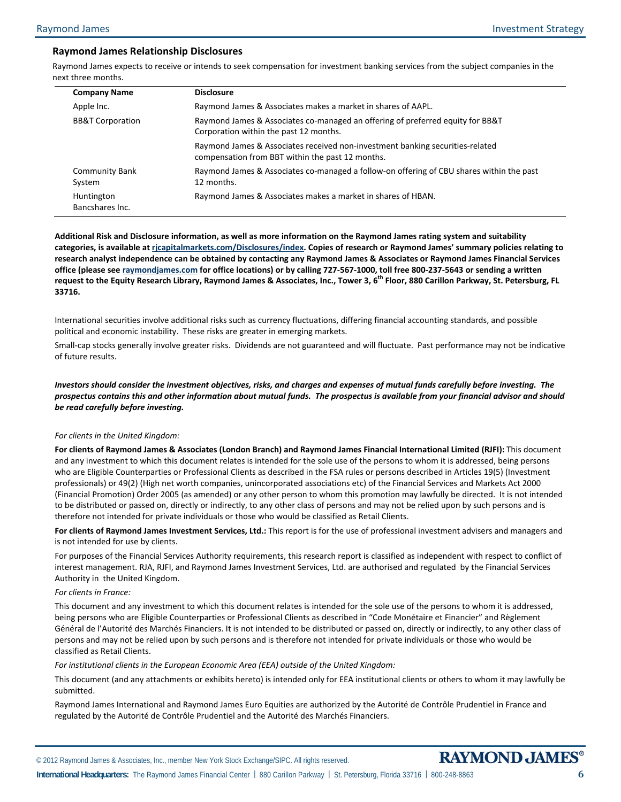## **Raymond James Relationship Disclosures**

Raymond James expects to receive or intends to seek compensation for investment banking services from the subject companies in the next three months.

| <b>Disclosure</b>                                                                                                                 |
|-----------------------------------------------------------------------------------------------------------------------------------|
| Raymond James & Associates makes a market in shares of AAPL.                                                                      |
| Raymond James & Associates co-managed an offering of preferred equity for BB&T<br>Corporation within the past 12 months.          |
| Raymond James & Associates received non-investment banking securities-related<br>compensation from BBT within the past 12 months. |
| Raymond James & Associates co-managed a follow-on offering of CBU shares within the past<br>12 months.                            |
| Raymond James & Associates makes a market in shares of HBAN.                                                                      |
|                                                                                                                                   |

**Additional Risk and Disclosure information, as well as more information on the Raymond James rating system and suitability categories, is available at [rjcapitalmarkets.com/Disclosures/index](http://www.rjcapitalmarkets.com/Disclosures/index). Copies of research or Raymond James' summary policies relating to research analyst independence can be obtained by contacting any Raymond James & Associates or Raymond James Financial Services office (please see [raymondjames.com](http://www.raymondjames.com/) for office locations) or by calling 727-567-1000, toll free 800-237-5643 or sending a written**  request to the Equity Research Library, Raymond James & Associates, Inc., Tower 3, 6<sup>th</sup> Floor, 880 Carillon Parkway, St. Petersburg, FL **33716.** 

International securities involve additional risks such as currency fluctuations, differing financial accounting standards, and possible political and economic instability. These risks are greater in emerging markets.

Small-cap stocks generally involve greater risks. Dividends are not guaranteed and will fluctuate. Past performance may not be indicative of future results.

*Investors should consider the investment objectives, risks, and charges and expenses of mutual funds carefully before investing. The prospectus contains this and other information about mutual funds. The prospectus is available from your financial advisor and should be read carefully before investing.* 

#### *For clients in the United Kingdom:*

**For clients of Raymond James & Associates (London Branch) and Raymond James Financial International Limited (RJFI):** This document and any investment to which this document relates is intended for the sole use of the persons to whom it is addressed, being persons who are Eligible Counterparties or Professional Clients as described in the FSA rules or persons described in Articles 19(5) (Investment professionals) or 49(2) (High net worth companies, unincorporated associations etc) of the Financial Services and Markets Act 2000 (Financial Promotion) Order 2005 (as amended) or any other person to whom this promotion may lawfully be directed. It is not intended to be distributed or passed on, directly or indirectly, to any other class of persons and may not be relied upon by such persons and is therefore not intended for private individuals or those who would be classified as Retail Clients.

**For clients of Raymond James Investment Services, Ltd.:** This report is for the use of professional investment advisers and managers and is not intended for use by clients.

For purposes of the Financial Services Authority requirements, this research report is classified as independent with respect to conflict of interest management. RJA, RJFI, and Raymond James Investment Services, Ltd. are authorised and regulated by the Financial Services Authority in the United Kingdom.

#### *For clients in France:*

This document and any investment to which this document relates is intended for the sole use of the persons to whom it is addressed, being persons who are Eligible Counterparties or Professional Clients as described in "Code Monétaire et Financier" and Règlement Général de l'Autorité des Marchés Financiers. It is not intended to be distributed or passed on, directly or indirectly, to any other class of persons and may not be relied upon by such persons and is therefore not intended for private individuals or those who would be classified as Retail Clients.

#### *For institutional clients in the European Economic Area (EEA) outside of the United Kingdom:*

This document (and any attachments or exhibits hereto) is intended only for EEA institutional clients or others to whom it may lawfully be submitted.

Raymond James International and Raymond James Euro Equities are authorized by the Autorité de Contrôle Prudentiel in France and regulated by the Autorité de Contrôle Prudentiel and the Autorité des Marchés Financiers.